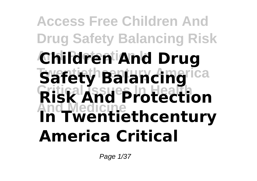## **Access Free Children And Drug Safety Balancing Risk And Protection In Children And Drug Tsafety Balancing**rica **Critical Issues In Health Risk And Protection And Medicine In Twentiethcentury America Critical**

Page 1/37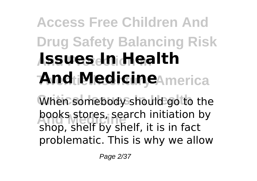# **Access Free Children And Drug Safety Balancing Risk And Protection In Issues In Health And Medicine**America

When somebody should go to the **books stores, search initiation by**<br>chan shalf by shalf it is in fact. shop, shelf by shelf, it is in fact problematic. This is why we allow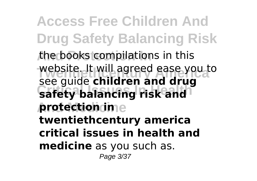**Access Free Children And Drug Safety Balancing Risk And Protection In** the books compilations in this website. It will agreed ease you to **safety balancing risk and And Medicine protection in** see guide **children and drug twentiethcentury america critical issues in health and medicine** as you such as. Page 3/37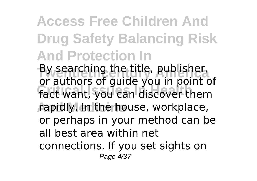**Access Free Children And Drug Safety Balancing Risk And Protection In** By searching the title, publisher,<br>or authors of guide you in point of **Critical Issues In Health** fact want, you can discover them **And Medicine** rapidly. In the house, workplace, By searching the title, publisher, or perhaps in your method can be all best area within net connections. If you set sights on Page 4/37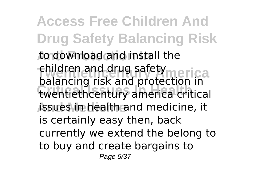**Access Free Children And Drug Safety Balancing Risk And Protection In** to download and install the children and drug safety<br>children and conductor the riga **Critical Issues In Health** twentiethcentury america critical **And Medicine** issues in health and medicine, it balancing risk and protection in is certainly easy then, back currently we extend the belong to to buy and create bargains to Page 5/37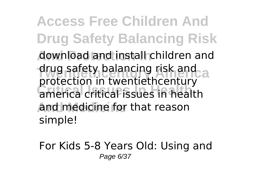**Access Free Children And Drug Safety Balancing Risk And Protection In** download and install children and drug safety balancing risk and **Critical Issues In Health** america critical issues in health **And Medicine** and medicine for that reason protection in twentiethcentury simple!

For Kids 5-8 Years Old: Using and Page 6/37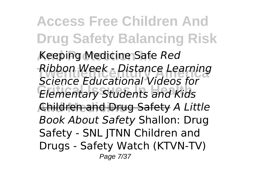**Access Free Children And Drug Safety Balancing Risk And Protection In** Keeping Medicine Safe *Red* **Twentiethcentury America** *Ribbon Week - Distance Learning* **Critical Issues In Health** *Elementary Students and Kids* **And Medicine** Children and Drug Safety *A Little Science Educational Videos for Book About Safety* Shallon: Drug Safety - SNL JTNN Children and Drugs - Safety Watch (KTVN-TV) Page 7/37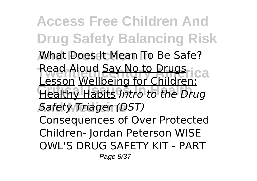**Access Free Children And Drug Safety Balancing Risk What Does It Mean To Be Safe? Read-Aloud <u>Say No to Drugs</u>**<br>Lesson Wallbeing for Children Ca **Critical Issues In Health** Healthy Habits *Intro to the Drug* **And Medicine** *Safety Triager (DST)* Lesson Wellbeing for Children: Consequences of Over Protected Children- Jordan Peterson WISE OWL'S DRUG SAFETY KIT - PART

Page 8/37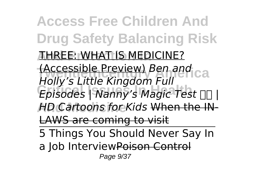**Access Free Children And Drug Safety Balancing Risk THREE: WHAT IS MEDICINE?** *(Accessible Preview) Ben and*<br>*Helki's Little Vingdom Full Critical Islam Communical II* Figures *Episodes* | Nanny's Magic Test **| And Medicine** *HD Cartoons for Kids* When the IN-*Holly's Little Kingdom Full* LAWS are coming to visit 5 Things You Should Never Say In a Job InterviewPoison Control Page 9/37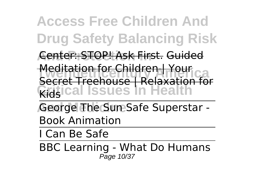**Access Free Children And Drug Safety Balancing Risk And Protection In** Center: STOP! Ask First. Guided <del>Mealtation for Children | Your</del><br>Secret Treehouse | Relaxation for **Critical Issues In Health** Meditation for Children | Your

George The Sun Safe Superstar -Book Animation

I Can Be Safe

BBC Learning - What Do Humans Page 10/37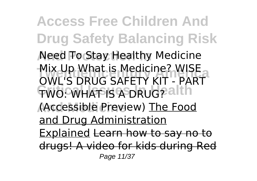**Access Free Children And Drug Safety Balancing Risk Need Fo Stay Healthy Medicine** Mix Up What is Medicine? WISE<br>CWUS PRUS SAFETY KIT, BART **TWO: WHAT IS A DRUG? alth And Medicine** (Accessible Preview) The Food OWL'S DRUG SAFETY KIT - PART and Drug Administration Explained Learn how to say no to drugs! A video for kids during Red Page 11/37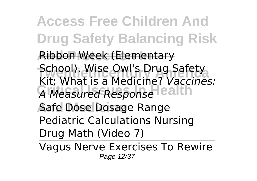**Access Free Children And Drug Safety Balancing Risk And Protection In** Ribbon Week (Elementary **The School). Wise Owl's Drug Safety**<br>Kit: What is a Medicine? Kessisse **Critical Issues In Health** *A Measured Response* **Safe Dose Dosage Range** Kit: What is a Medicine? *Vaccines:*

Pediatric Calculations Nursing Drug Math (Video 7)

Vagus Nerve Exercises To Rewire Page 12/37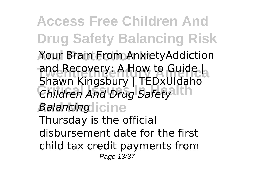**Access Free Children And Drug Safety Balancing Risk And Protection In** Your Brain From AnxietyAddiction **The Recovery: A How to Guide | Children And Drug Safety And Medicine** *Balancing* Shawn Kingsbury | TEDxUIdaho Thursday is the official disbursement date for the first child tax credit payments from Page 13/37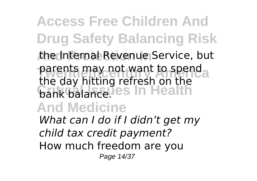**Access Free Children And Drug Safety Balancing Risk And Protection In** the Internal Revenue Service, but parents may not want to spend<br>the day hitting referable that **bank balance.**<br> **c**hank balance. **And Medicine** the day hitting refresh on the *What can I do if I didn't get my child tax credit payment?* How much freedom are you Page 14/37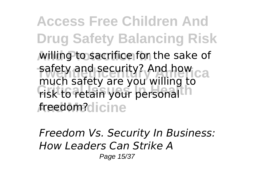**Access Free Children And Drug Safety Balancing Risk And Protection In** willing to sacrifice for the sake of safety and security? And how ca **Critical Islams**<br> **Critical Islams** *f*reedom?dicine much safety are you willing to

*Freedom Vs. Security In Business: How Leaders Can Strike A* Page 15/37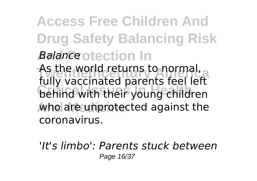#### **Access Free Children And Drug Safety Balancing Risk** *Aalance* otection In As the world returns to hormal,<br>fully vaccinated parents feel left **Critical Issues In Health** behind with their young children **who are unprotected against the** As the world returns to normal,

coronavirus.

*'It's limbo': Parents stuck between* Page 16/37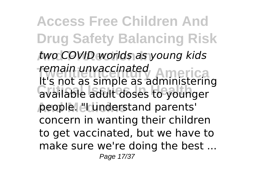**Access Free Children And Drug Safety Balancing Risk And Protection In** *two COVID worlds as young kids Temain unvaccinated*<br>It's not as simple as administering **Reading the Critical Islam people.** "I understand parents" *remain unvaccinated* concern in wanting their children to get vaccinated, but we have to make sure we're doing the best ... Page 17/37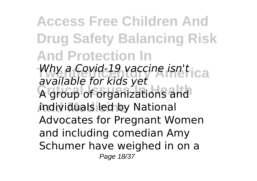**Access Free Children And Drug Safety Balancing Risk And Protection In** *Why a Covid-19 vaccine isn't* ica **Critical Issues In Health** A group of organizations and **And Medicine** individuals led by National *available for kids yet* Advocates for Pregnant Women and including comedian Amy Schumer have weighed in on a Page 18/37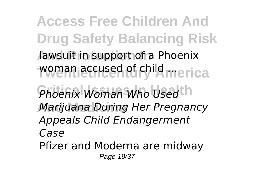**Access Free Children And Drug Safety Balancing Risk And Protection In** lawsuit in support of a Phoenix woman accused of child merica **Phoenix Woman Who Used th And Medicine** *Marijuana During Her Pregnancy Appeals Child Endangerment Case* Pfizer and Moderna are midway Page 19/37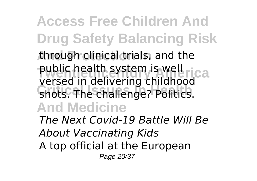**Access Free Children And Drug Safety Balancing Risk And Protection In** through clinical trials, and the public health system is well rica **Critical Issues In Health** shots. The challenge? Politics. **And Medicine** versed in delivering childhood *The Next Covid-19 Battle Will Be About Vaccinating Kids* A top official at the European Page 20/37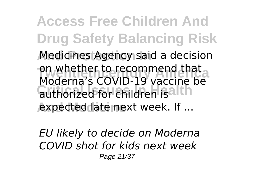**Access Free Children And Drug Safety Balancing Risk Medicines Agency said a decision** on whether to recommend that<br>Moderna's COVID-19 vaccine be authorized for children isalth **And Medicine** expected late next week. If ... on whether to recommend that

*EU likely to decide on Moderna COVID shot for kids next week* Page 21/37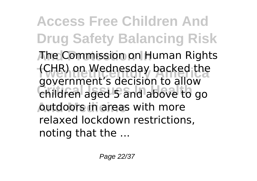**Access Free Children And Drug Safety Balancing Risk And Protection In** The Commission on Human Rights (CHR) on wednesday backed the<br>government's decision to allow **Critical Issues In Health** children aged 5 and above to go **Autdoors in areas with more** (CHR) on Wednesday backed the relaxed lockdown restrictions, noting that the ...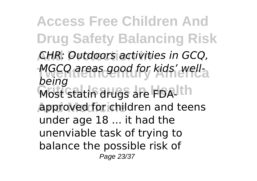**Access Free Children And Drug Safety Balancing Risk And Protection In** *CHR: Outdoors activities in GCQ,* MGCQ areas good for kids' well-**Most statin drugs are FDA-Ith And Medicine** approved for children and teens *being* under age 18 ... it had the unenviable task of trying to balance the possible risk of Page 23/37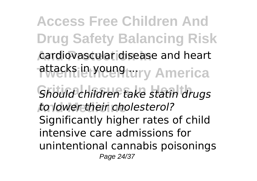**Access Free Children And Drug Safety Balancing Risk** cardiovascular disease and heart attacks in young tury America **Critical Issues In Health** *Should children take statin drugs* **And Medicine** *to lower their cholesterol?* Significantly higher rates of child intensive care admissions for unintentional cannabis poisonings Page 24/37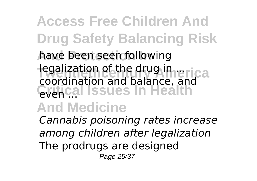### **Access Free Children And Drug Safety Balancing Risk And Protection In** have been seen following **The drug in ...**<br>Twentiether and halo and price **Critical Issues In Health** coordination and balance, and

#### **And Medicine**

*Cannabis poisoning rates increase among children after legalization* The prodrugs are designed Page 25/37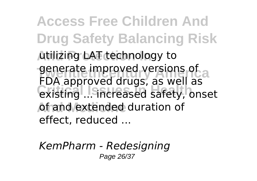**Access Free Children And Drug Safety Balancing Risk And Protection In** utilizing LAT technology to generate improved versions of<br>FDA approved drugs, as well as **Critical Issues In Health** existing ... increased safety, onset of and extended duration of generate improved versions of effect, reduced ...

*KemPharm - Redesigning* Page 26/37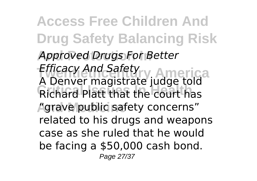**Access Free Children And Drug Safety Balancing Risk Approved Drugs For Better** *Efficacy And Safety*<br>A Denver magistrate judge told **Critical Issues In Health** Richard Platt that the court has **And Medicine** "grave public safety concerns" *Efficacy And Safety* related to his drugs and weapons case as she ruled that he would be facing a \$50,000 cash bond. Page 27/37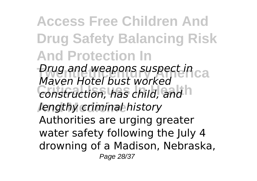**Access Free Children And Drug Safety Balancing Risk And Protection In Drug and weapons suspect in**<br>Mayor I had bust weaked **Critical Issues In Health** *construction, has child, and* **And Medicine** *lengthy criminal history Maven Hotel bust worked* Authorities are urging greater water safety following the July 4 drowning of a Madison, Nebraska, Page 28/37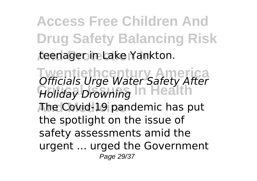**Access Free Children And Drug Safety Balancing Risk And Protection In** teenager in Lake Yankton.

**Twentiethcentury America** *Officials Urge Water Safety After* **Critical Issues In Health** *Holiday Drowning* **And Medicine** The Covid-19 pandemic has put the spotlight on the issue of safety assessments amid the urgent ... urged the Government Page 29/37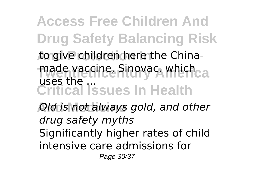**Access Free Children And Drug Safety Balancing Risk** to give children here the Chinamade vaccine, Sinovac, which<sub>ca</sub> **Critical Issues In Health**  $_{II}$ ses the  $_{II}$ 

**And Medicine** *Old is not always gold, and other drug safety myths* Significantly higher rates of child intensive care admissions for Page 30/37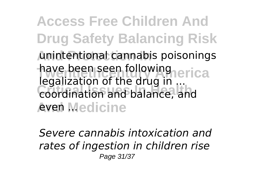**Access Free Children And Drug Safety Balancing Risk And Protection In** unintentional cannabis poisonings have been seen following<br>Localization of the drug in errical **Critical Issues In Health** coordination and balance, and **Aven Medicine** legalization of the drug in ...

*Severe cannabis intoxication and rates of ingestion in children rise* Page 31/37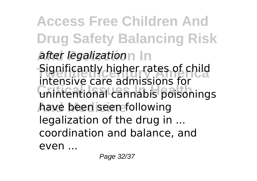**Access Free Children And Drug Safety Balancing Risk And Protection In** *after legalization* **The Significantly higher rates of child Critical Issues In Health** unintentional cannabis poisonings **And Medicine** have been seen following intensive care admissions for legalization of the drug in ... coordination and balance, and even ...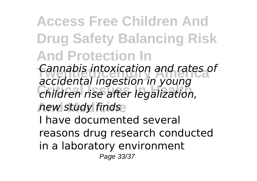**Access Free Children And Drug Safety Balancing Risk And Protection In Twentiethcentury America** *Cannabis intoxication and rates of* **Critical Issues In Health** *children rise after legalization,* **And Medicine** *new study finds accidental ingestion in young* I have documented several reasons drug research conducted

in a laboratory environment

Page 33/37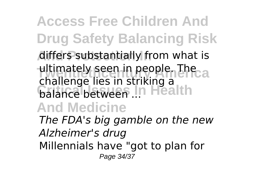**Access Free Children And Drug Safety Balancing Risk Aiffers substantially from what is** ultimately seen in people. The balance between .... Health **And Medicine** challenge lies in striking a

*The FDA's big gamble on the new Alzheimer's drug* Millennials have "got to plan for Page 34/37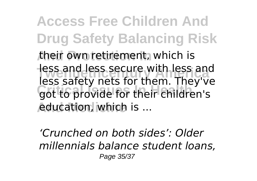**Access Free Children And Drug Safety Balancing Risk And Protection In** their own retirement, which is Tess and Jess secure with Jess and<br>less safety nets for them. They've **COPS BOTCLY THEORY IN HIGHT THEY** education, which is ... less and less secure with less and

*'Crunched on both sides': Older millennials balance student loans,* Page 35/37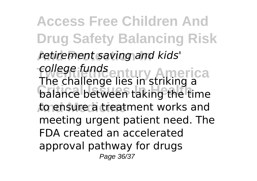**Access Free Children And Drug Safety Balancing Risk And Protection In** *retirement saving and kids' college funds* entury America **Critical Issues In Health** balance between taking the time **And Medicine** to ensure a treatment works and The challenge lies in striking a meeting urgent patient need. The FDA created an accelerated approval pathway for drugs Page 36/37